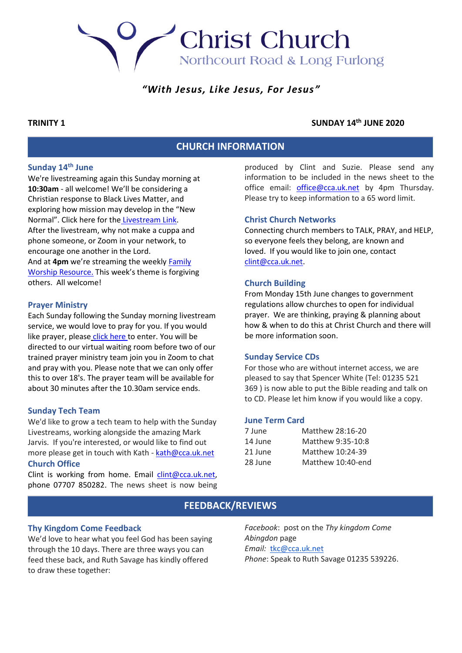# Northcourt Road & Long Furlong

**Christ Church** 

## *"With Jesus, Like Jesus, For Jesus"*

## **TRINITY 1 SUNDAY 14th JUNE 2020**

## **CHURCH INFORMATION**

## **Sunday 14th June**

We're livestreaming again this Sunday morning at **10:30am** - all welcome! We'll be considering a Christian response to Black Lives Matter, and exploring how mission may develop in the "New Normal". Click here for the [Livestream Link.](https://youtu.be/mFtGAPGLSG8) After the livestream, why not make a cuppa and phone someone, or Zoom in your network, to encourage one another in the Lord. And at **4pm** we're streaming the weekly [Family](https://youtu.be/usaanGwDVeI)  [Worship Resource.](https://youtu.be/usaanGwDVeI) This week's theme is forgiving others. All welcome!

#### **Prayer Ministry**

Each Sunday following the Sunday morning livestream service, we would love to pray for you. If you would lik[e](https://zoom.us/j/94957771641?pwd=a3luQnN2WmZIRWpzaTNVdEE4WWVxZz09) prayer, please [click here](https://zoom.us/j/94957771641?pwd=a3luQnN2WmZIRWpzaTNVdEE4WWVxZz09) to enter. You will be directed to our virtual waiting room before two of our trained prayer ministry team join you in Zoom to chat and pray with you. Please note that we can only offer this to over 18's. The prayer team will be available for about 30 minutes after the 10.30am service ends.

#### **Sunday Tech Team**

We'd like to grow a tech team to help with the Sunday Livestreams, working alongside the amazing Mark Jarvis. If you're interested, or would like to find out more please get in touch with Kath - [kath@cca.uk.net](mailto:kath@cca.uk.net) **Church Office**

Clint is working from home. Email [clint@cca.uk.net,](mailto:clint@cca.uk.net) phone 07707 850282. The news sheet is now being produced by Clint and Suzie. Please send any information to be included in the news sheet to the office email: [office@cca.uk.net](mailto:office@cca.uk.net) by 4pm Thursday. Please try to keep information to a 65 word limit.

#### **Christ Church Networks**

Connecting church members to TALK, PRAY, and HELP, so everyone feels they belong, are known and loved. If you would like to join one, contact [clint@cca.uk.net.](mailto:clint@cca.uk.net)

#### **Church Building**

From Monday 15th June changes to government regulations allow churches to open for individual prayer. We are thinking, praying & planning about how & when to do this at Christ Church and there will be more information soon.

#### **Sunday Service CDs**

For those who are without internet access, we are pleased to say that Spencer White (Tel: 01235 521 369 ) is now able to put the Bible reading and talk on to CD. Please let him know if you would like a copy.

#### **June Term Card**

| 7 June  | Matthew 28:16-20  |
|---------|-------------------|
| 14 June | Matthew 9:35-10:8 |
| 21 June | Matthew 10:24-39  |
| 28 June | Matthew 10:40-end |

## **FEEDBACK/REVIEWS**

#### **Thy Kingdom Come Feedback**

We'd love to hear what you feel God has been saying through the 10 days. There are three ways you can feed these back, and Ruth Savage has kindly offered to draw these together:

*Facebook*: post on the *Thy kingdom Come Abingdon* page *Email:* [tkc@cca.uk.net](mailto:tkc@cca.uk.net) *Phone*: Speak to Ruth Savage 01235 539226.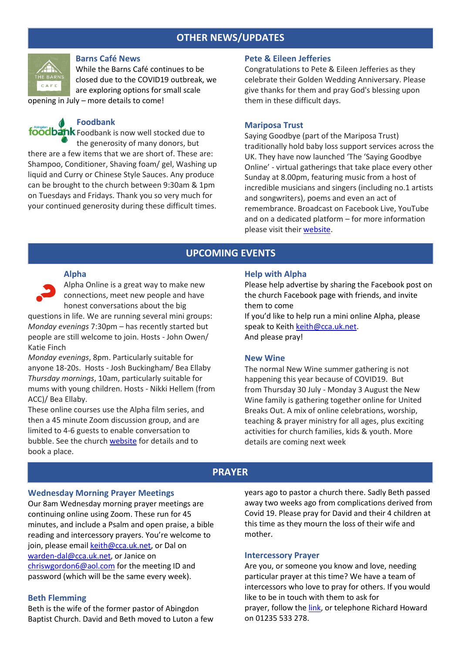## **OTHER NEWS/UPDATES**



## **Barns Café News**

While the Barns Café continues to be closed due to the COVID19 outbreak, we are exploring options for small scale

opening in July – more details to come!

## **Foodbank**

foodbank Foodbank is now well stocked due to the generosity of many donors, but there are a few items that we are short of. These are: Shampoo, Conditioner, Shaving foam/ gel, Washing up liquid and Curry or Chinese Style Sauces. Any produce can be brought to the church between 9:30am & 1pm on Tuesdays and Fridays. Thank you so very much for your continued generosity during these difficult times.

#### **Pete & Eileen Jefferies**

Congratulations to Pete & Eileen Jefferies as they celebrate their Golden Wedding Anniversary. Please give thanks for them and pray God's blessing upon them in these difficult days.

#### **Mariposa Trust**

Saying Goodbye (part of the Mariposa Trust) traditionally hold baby loss support services across the UK. They have now launched 'The 'Saying Goodbye Online' - virtual gatherings that take place every other Sunday at 8.00pm, featuring music from a host of incredible musicians and singers (including no.1 artists and songwriters), poems and even an act of remembrance. Broadcast on Facebook Live, YouTube and on a dedicated platform – for more information please visit their [website.](http://www.sayinggoodbye.org/)

## **UPCOMING EVENTS**

#### **Alpha**



Alpha Online is a great way to make new connections, meet new people and have honest conversations about the big

questions in life. We are running several mini groups: *Monday evenings* 7:30pm – has recently started but people are still welcome to join. Hosts - John Owen/ Katie Finch

*Monday evenings*, 8pm. Particularly suitable for anyone 18-20s. Hosts - Josh Buckingham/ Bea Ellaby *Thursday mornings*, 10am, particularly suitable for mums with young children. Hosts - Nikki Hellem (from ACC)/ Bea Ellaby.

These online courses use the Alpha film series, and then a 45 minute Zoom discussion group, and are limited to 4-6 guests to enable conversation to bubble. See the church [website](http://www.cca.uk.net/explore-faith/) for details and to book a place.

## **Help with Alpha**

Please help advertise by sharing the Facebook post on the church Facebook page with friends, and invite them to come

If you'd like to help run a mini online Alpha, please speak to Keith [keith@cca.uk.net.](mailto:keith@cca.uk.net) And please pray!

#### **New Wine**

The normal New Wine summer gathering is not happening this year because of COVID19. But from Thursday 30 July - Monday 3 August the New Wine family is gathering together online for United Breaks Out. A mix of online celebrations, worship, teaching & prayer ministry for all ages, plus exciting activities for church families, kids & youth. More details are coming next week

## **PRAYER**

#### **Wednesday Morning Prayer Meetings**

Our 8am Wednesday morning prayer meetings are continuing online using Zoom. These run for 45 minutes, and include a Psalm and open praise, a bible reading and intercessory prayers. You're welcome to join, please emai[l keith@cca.uk.net,](mailto:keith@cca.uk.net) or Dal on [warden-dal@cca.uk.net,](mailto:warden-dal@cca.uk.net) or Janice on [chriswgordon6@aol.com](mailto:chriswgordon6@aol.com) for the meeting ID and password (which will be the same every week).

#### **Beth Flemming**

Beth is the wife of the former pastor of Abingdon Baptist Church. David and Beth moved to Luton a few years ago to pastor a church there. Sadly Beth passed away two weeks ago from complications derived from Covid 19. Please pray for David and their 4 children at this time as they mourn the loss of their wife and mother.

#### **Intercessory Prayer**

Are you, or someone you know and love, needing particular prayer at this time? We have a team of intercessors who love to pray for others. If you would like to be in touch with them to ask for prayer, follow th[e link,](https://docs.google.com/forms/d/e/1FAIpQLSfT-6Me8FrVVQa50ZUXThiDnzQ3aNU-nR12dM2JZQrD78vnLA/viewform) or telephone Richard Howard on 01235 533 278.